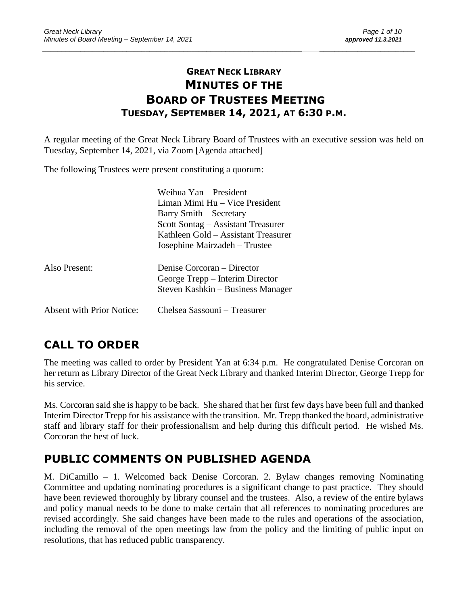# **GREAT NECK LIBRARY MINUTES OF THE BOARD OF TRUSTEES MEETING TUESDAY, SEPTEMBER 14, 2021, AT 6:30 P.M.**

\_\_\_\_\_\_\_\_\_\_\_\_\_\_\_\_\_\_\_\_\_\_\_\_\_\_\_\_\_\_\_\_\_\_\_\_\_\_\_\_\_\_\_\_\_\_\_\_\_\_\_\_\_\_\_\_\_\_\_\_\_\_\_\_\_\_\_\_ \_\_\_\_\_\_\_\_\_\_\_\_\_\_\_\_\_\_\_\_\_\_\_\_\_

A regular meeting of the Great Neck Library Board of Trustees with an executive session was held on Tuesday, September 14, 2021, via Zoom [Agenda attached]

The following Trustees were present constituting a quorum:

|                                  | Weihua Yan – President<br>Liman Mimi Hu – Vice President<br>Barry Smith – Secretary<br>Scott Sontag – Assistant Treasurer<br>Kathleen Gold – Assistant Treasurer<br>Josephine Mairzadeh – Trustee |
|----------------------------------|---------------------------------------------------------------------------------------------------------------------------------------------------------------------------------------------------|
| Also Present:                    | Denise Corcoran – Director<br>George Trepp – Interim Director<br>Steven Kashkin – Business Manager                                                                                                |
| <b>Absent with Prior Notice:</b> | Chelsea Sassouni – Treasurer                                                                                                                                                                      |

# **CALL TO ORDER**

The meeting was called to order by President Yan at 6:34 p.m. He congratulated Denise Corcoran on her return as Library Director of the Great Neck Library and thanked Interim Director, George Trepp for his service.

Ms. Corcoran said she is happy to be back. She shared that her first few days have been full and thanked Interim Director Trepp for his assistance with the transition. Mr. Trepp thanked the board, administrative staff and library staff for their professionalism and help during this difficult period. He wished Ms. Corcoran the best of luck.

# **PUBLIC COMMENTS ON PUBLISHED AGENDA**

M. DiCamillo – 1. Welcomed back Denise Corcoran. 2. Bylaw changes removing Nominating Committee and updating nominating procedures is a significant change to past practice. They should have been reviewed thoroughly by library counsel and the trustees. Also, a review of the entire bylaws and policy manual needs to be done to make certain that all references to nominating procedures are revised accordingly. She said changes have been made to the rules and operations of the association, including the removal of the open meetings law from the policy and the limiting of public input on resolutions, that has reduced public transparency.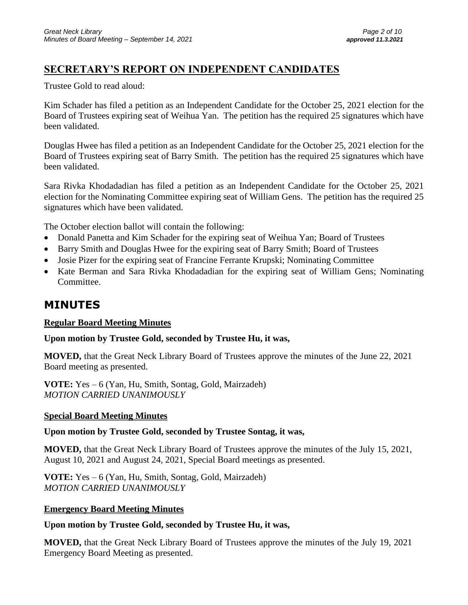# **SECRETARY'S REPORT ON INDEPENDENT CANDIDATES**

Trustee Gold to read aloud:

Kim Schader has filed a petition as an Independent Candidate for the October 25, 2021 election for the Board of Trustees expiring seat of Weihua Yan. The petition has the required 25 signatures which have been validated.

Douglas Hwee has filed a petition as an Independent Candidate for the October 25, 2021 election for the Board of Trustees expiring seat of Barry Smith. The petition has the required 25 signatures which have been validated.

Sara Rivka Khodadadian has filed a petition as an Independent Candidate for the October 25, 2021 election for the Nominating Committee expiring seat of William Gens. The petition has the required 25 signatures which have been validated.

The October election ballot will contain the following:

- Donald Panetta and Kim Schader for the expiring seat of Weihua Yan; Board of Trustees
- Barry Smith and Douglas Hwee for the expiring seat of Barry Smith; Board of Trustees
- Josie Pizer for the expiring seat of Francine Ferrante Krupski; Nominating Committee
- Kate Berman and Sara Rivka Khodadadian for the expiring seat of William Gens; Nominating Committee.

# **MINUTES**

#### **Regular Board Meeting Minutes**

#### **Upon motion by Trustee Gold, seconded by Trustee Hu, it was,**

**MOVED,** that the Great Neck Library Board of Trustees approve the minutes of the June 22, 2021 Board meeting as presented.

**VOTE:** Yes – 6 (Yan, Hu, Smith, Sontag, Gold, Mairzadeh) *MOTION CARRIED UNANIMOUSLY* 

#### **Special Board Meeting Minutes**

#### **Upon motion by Trustee Gold, seconded by Trustee Sontag, it was,**

**MOVED,** that the Great Neck Library Board of Trustees approve the minutes of the July 15, 2021, August 10, 2021 and August 24, 2021, Special Board meetings as presented.

**VOTE:** Yes – 6 (Yan, Hu, Smith, Sontag, Gold, Mairzadeh) *MOTION CARRIED UNANIMOUSLY* 

#### **Emergency Board Meeting Minutes**

#### **Upon motion by Trustee Gold, seconded by Trustee Hu, it was,**

**MOVED,** that the Great Neck Library Board of Trustees approve the minutes of the July 19, 2021 Emergency Board Meeting as presented.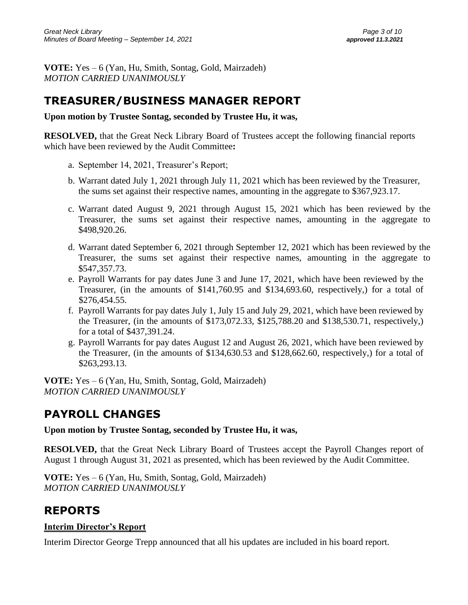**VOTE:** Yes – 6 (Yan, Hu, Smith, Sontag, Gold, Mairzadeh) *MOTION CARRIED UNANIMOUSLY* 

# **TREASURER/BUSINESS MANAGER REPORT**

**Upon motion by Trustee Sontag, seconded by Trustee Hu, it was,**

**RESOLVED,** that the Great Neck Library Board of Trustees accept the following financial reports which have been reviewed by the Audit Committee**:** 

- a. September 14, 2021, Treasurer's Report;
- b. Warrant dated July 1, 2021 through July 11, 2021 which has been reviewed by the Treasurer, the sums set against their respective names, amounting in the aggregate to \$367,923.17.
- c. Warrant dated August 9, 2021 through August 15, 2021 which has been reviewed by the Treasurer, the sums set against their respective names, amounting in the aggregate to \$498,920.26.
- d. Warrant dated September 6, 2021 through September 12, 2021 which has been reviewed by the Treasurer, the sums set against their respective names, amounting in the aggregate to \$547,357.73.
- e. Payroll Warrants for pay dates June 3 and June 17, 2021, which have been reviewed by the Treasurer, (in the amounts of \$141,760.95 and \$134,693.60, respectively,) for a total of \$276,454.55.
- f. Payroll Warrants for pay dates July 1, July 15 and July 29, 2021, which have been reviewed by the Treasurer, (in the amounts of \$173,072.33, \$125,788.20 and \$138,530.71, respectively,) for a total of \$437,391.24.
- g. Payroll Warrants for pay dates August 12 and August 26, 2021, which have been reviewed by the Treasurer, (in the amounts of \$134,630.53 and \$128,662.60, respectively,) for a total of \$263,293.13.

**VOTE:** Yes – 6 (Yan, Hu, Smith, Sontag, Gold, Mairzadeh) *MOTION CARRIED UNANIMOUSLY* 

# **PAYROLL CHANGES**

**Upon motion by Trustee Sontag, seconded by Trustee Hu, it was,**

**RESOLVED,** that the Great Neck Library Board of Trustees accept the Payroll Changes report of August 1 through August 31, 2021 as presented, which has been reviewed by the Audit Committee.

**VOTE:** Yes – 6 (Yan, Hu, Smith, Sontag, Gold, Mairzadeh) *MOTION CARRIED UNANIMOUSLY* 

# **REPORTS**

#### **Interim Director's Report**

Interim Director George Trepp announced that all his updates are included in his board report.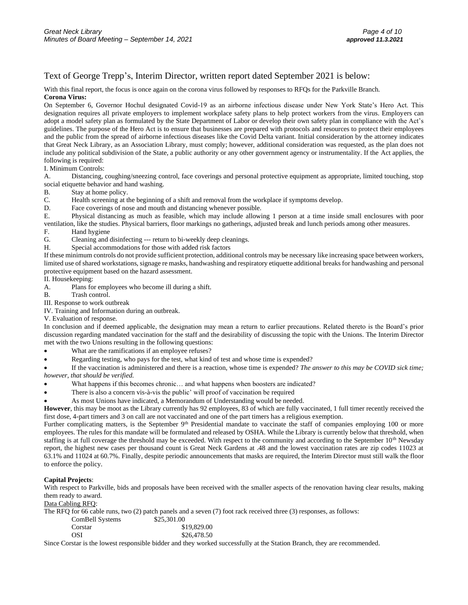#### Text of George Trepp's, Interim Director, written report dated September 2021 is below:

With this final report, the focus is once again on the corona virus followed by responses to RFQs for the Parkville Branch. **Corona Virus:**

On September 6, Governor Hochul designated Covid-19 as an airborne infectious disease under New York State's Hero Act. This designation requires all private employers to implement workplace safety plans to help protect workers from the virus. Employers can adopt a model safety plan as formulated by the State Department of Labor or develop their own safety plan in compliance with the Act's guidelines. The purpose of the Hero Act is to ensure that businesses are prepared with protocols and resources to protect their employees and the public from the spread of airborne infectious diseases like the Covid Delta variant. Initial consideration by the attorney indicates that Great Neck Library, as an Association Library, must comply; however, additional consideration was requested, as the plan does not include any political subdivision of the State, a public authority or any other government agency or instrumentality. If the Act applies, the following is required:

I. Minimum Controls:

A. Distancing, coughing/sneezing control, face coverings and personal protective equipment as appropriate, limited touching, stop social etiquette behavior and hand washing.

- B. Stay at home policy.
- C. Health screening at the beginning of a shift and removal from the workplace if symptoms develop.
- D. Face coverings of nose and mouth and distancing whenever possible.

E. Physical distancing as much as feasible, which may include allowing 1 person at a time inside small enclosures with poor ventilation, like the studies. Physical barriers, floor markings no gatherings, adjusted break and lunch periods among other measures.

F. Hand hygiene

G. Cleaning and disinfecting --- return to bi-weekly deep cleanings.

H. Special accommodations for those with added risk factors

If these minimum controls do not provide sufficient protection, additional controls may be necessary like increasing space between workers, limited use of shared workstations, signage re masks, handwashing and respiratory etiquette additional breaks for handwashing and personal protective equipment based on the hazard assessment.

II. Housekeeping:

- A. Plans for employees who become ill during a shift.
- B. Trash control.

III. Response to work outbreak

IV. Training and Information during an outbreak.

V. Evaluation of response.

In conclusion and if deemed applicable, the designation may mean a return to earlier precautions. Related thereto is the Board's prior discussion regarding mandated vaccination for the staff and the desirability of discussing the topic with the Unions. The Interim Director met with the two Unions resulting in the following questions:

- What are the ramifications if an employee refuses?
- Regarding testing, who pays for the test, what kind of test and whose time is expended?

• If the vaccination is administered and there is a reaction, whose time is expended? *The answer to this may be COVID sick time; however, that should be verified.*

- What happens if this becomes chronic… and what happens when boosters are indicated?
- There is also a concern vis-à-vis the public' will proof of vaccination be required
- As most Unions have indicated, a Memorandum of Understanding would be needed.

**However**, this may be moot as the Library currently has 92 employees, 83 of which are fully vaccinated, 1 full timer recently received the first dose, 4-part timers and 3 on call are not vaccinated and one of the part timers has a religious exemption.

Further complicating matters, is the September 9<sup>th</sup> Presidential mandate to vaccinate the staff of companies employing 100 or more employees. The rules for this mandate will be formulated and released by OSHA. While the Library is currently below that threshold, when staffing is at full coverage the threshold may be exceeded. With respect to the community and according to the September 10<sup>th</sup> Newsday report, the highest new cases per thousand count is Great Neck Gardens at .48 and the lowest vaccination rates are zip codes 11023 at 63.1% and 11024 at 60.7%. Finally, despite periodic announcements that masks are required, the Interim Director must still walk the floor to enforce the policy.

#### **Capital Projects**:

With respect to Parkville, bids and proposals have been received with the smaller aspects of the renovation having clear results, making them ready to award.

Data Cabling RFQ:

The RFQ for 66 cable runs, two (2) patch panels and a seven (7) foot rack received three (3) responses, as follows:

| ComBell Systems | \$25,301.00 |
|-----------------|-------------|
| Corstar         | \$19,829.00 |
| OSI             | \$26,478.50 |

Since Corstar is the lowest responsible bidder and they worked successfully at the Station Branch, they are recommended.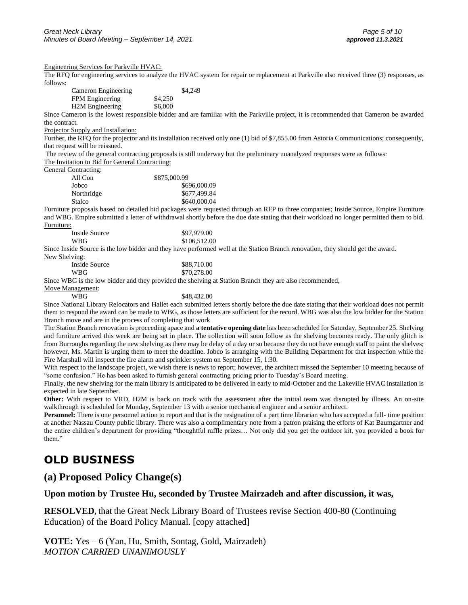Engineering Services for Parkville HVAC:

The RFQ for engineering services to analyze the HVAC system for repair or replacement at Parkville also received three (3) responses, as follows:

| Cameron Engineering          |         | \$4,249 |
|------------------------------|---------|---------|
| FPM Engineering              | \$4,250 |         |
| H <sub>2</sub> M Engineering | \$6,000 |         |

Since Cameron is the lowest responsible bidder and are familiar with the Parkville project, it is recommended that Cameron be awarded the contract.

#### Projector Supply and Installation:

Further, the RFQ for the projector and its installation received only one (1) bid of \$7,855.00 from Astoria Communications; consequently, that request will be reissued.

The review of the general contracting proposals is still underway but the preliminary unanalyzed responses were as follows:

The Invitation to Bid for General Contracting:

General Contracting:

| All Con    | \$875,000.99 |
|------------|--------------|
| Jobco      | \$696,000.09 |
| Northridge | \$677,499.84 |
| Stalco     | \$640,000.04 |
|            |              |

Furniture proposals based on detailed bid packages were requested through an RFP to three companies; Inside Source, Empire Furniture and WBG. Empire submitted a letter of withdrawal shortly before the due date stating that their workload no longer permitted them to bid. Furniture:

| Inside Source | \$97,979.00  |
|---------------|--------------|
| <b>WBG</b>    | \$106,512.00 |

Since Inside Source is the low bidder and they have performed well at the Station Branch renovation, they should get the award.

| New Shelving: |  |  |
|---------------|--|--|
|               |  |  |

| Inside Source | \$88,710.00 |
|---------------|-------------|
| WBG           | \$70,278.00 |

Since WBG is the low bidder and they provided the shelving at Station Branch they are also recommended,

| Move Management: |
|------------------|
| $\mathbf{W}$     |

WBG \$48,432.00

Since National Library Relocators and Hallet each submitted letters shortly before the due date stating that their workload does not permit them to respond the award can be made to WBG, as those letters are sufficient for the record. WBG was also the low bidder for the Station Branch move and are in the process of completing that work

The Station Branch renovation is proceeding apace and **a tentative opening date** has been scheduled for Saturday, September 25. Shelving and furniture arrived this week are being set in place. The collection will soon follow as the shelving becomes ready. The only glitch is from Burroughs regarding the new shelving as there may be delay of a day or so because they do not have enough staff to paint the shelves; however, Ms. Martin is urging them to meet the deadline. Jobco is arranging with the Building Department for that inspection while the Fire Marshall will inspect the fire alarm and sprinkler system on September 15, 1:30.

With respect to the landscape project, we wish there is news to report; however, the architect missed the September 10 meeting because of "some confusion." He has been asked to furnish general contracting pricing prior to Tuesday's Board meeting.

Finally, the new shelving for the main library is anticipated to be delivered in early to mid-October and the Lakeville HVAC installation is expected in late September.

**Other:** With respect to VRD, H2M is back on track with the assessment after the initial team was disrupted by illness. An on-site walkthrough is scheduled for Monday, September 13 with a senior mechanical engineer and a senior architect.

**Personnel:** There is one personnel action to report and that is the resignation of a part time librarian who has accepted a full- time position at another Nassau County public library. There was also a complimentary note from a patron praising the efforts of Kat Baumgartner and the entire children's department for providing "thoughtful raffle prizes… Not only did you get the outdoor kit, you provided a book for them."

# **OLD BUSINESS**

#### **(a) Proposed Policy Change(s)**

**Upon motion by Trustee Hu, seconded by Trustee Mairzadeh and after discussion, it was,**

**RESOLVED,** that the Great Neck Library Board of Trustees revise Section 400-80 (Continuing Education) of the Board Policy Manual. [copy attached]

**VOTE:** Yes – 6 (Yan, Hu, Smith, Sontag, Gold, Mairzadeh) *MOTION CARRIED UNANIMOUSLY*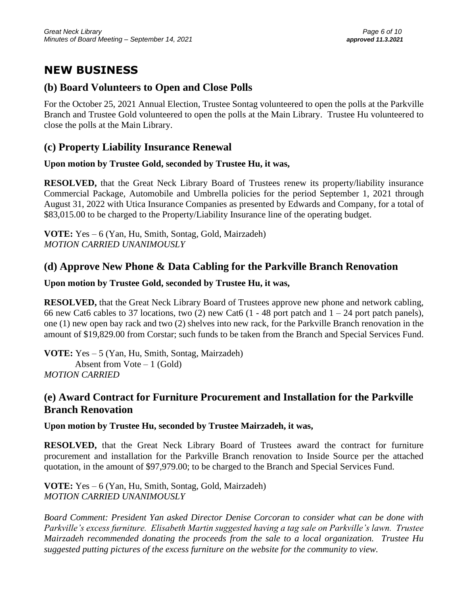# **NEW BUSINESS**

### **(b) Board Volunteers to Open and Close Polls**

For the October 25, 2021 Annual Election, Trustee Sontag volunteered to open the polls at the Parkville Branch and Trustee Gold volunteered to open the polls at the Main Library. Trustee Hu volunteered to close the polls at the Main Library.

### **(c) Property Liability Insurance Renewal**

### **Upon motion by Trustee Gold, seconded by Trustee Hu, it was,**

**RESOLVED,** that the Great Neck Library Board of Trustees renew its property/liability insurance Commercial Package, Automobile and Umbrella policies for the period September 1, 2021 through August 31, 2022 with Utica Insurance Companies as presented by Edwards and Company, for a total of \$83,015.00 to be charged to the Property/Liability Insurance line of the operating budget.

**VOTE:** Yes – 6 (Yan, Hu, Smith, Sontag, Gold, Mairzadeh) *MOTION CARRIED UNANIMOUSLY* 

### **(d) Approve New Phone & Data Cabling for the Parkville Branch Renovation**

#### **Upon motion by Trustee Gold, seconded by Trustee Hu, it was,**

**RESOLVED,** that the Great Neck Library Board of Trustees approve new phone and network cabling, 66 new Cat6 cables to 37 locations, two (2) new Cat6 (1 - 48 port patch and  $1 - 24$  port patch panels), one (1) new open bay rack and two (2) shelves into new rack, for the Parkville Branch renovation in the amount of \$19,829.00 from Corstar; such funds to be taken from the Branch and Special Services Fund.

**VOTE:** Yes – 5 (Yan, Hu, Smith, Sontag, Mairzadeh) Absent from Vote  $-1$  (Gold) *MOTION CARRIED*

### **(e) Award Contract for Furniture Procurement and Installation for the Parkville Branch Renovation**

**Upon motion by Trustee Hu, seconded by Trustee Mairzadeh, it was,**

**RESOLVED,** that the Great Neck Library Board of Trustees award the contract for furniture procurement and installation for the Parkville Branch renovation to Inside Source per the attached quotation, in the amount of \$97,979.00; to be charged to the Branch and Special Services Fund.

**VOTE:** Yes – 6 (Yan, Hu, Smith, Sontag, Gold, Mairzadeh) *MOTION CARRIED UNANIMOUSLY*

*Board Comment: President Yan asked Director Denise Corcoran to consider what can be done with Parkville's excess furniture. Elisabeth Martin suggested having a tag sale on Parkville's lawn. Trustee Mairzadeh recommended donating the proceeds from the sale to a local organization. Trustee Hu suggested putting pictures of the excess furniture on the website for the community to view.*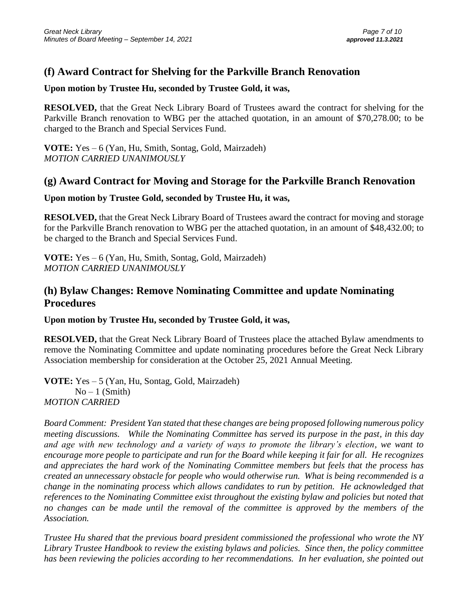## **(f) Award Contract for Shelving for the Parkville Branch Renovation**

#### **Upon motion by Trustee Hu, seconded by Trustee Gold, it was,**

**RESOLVED,** that the Great Neck Library Board of Trustees award the contract for shelving for the Parkville Branch renovation to WBG per the attached quotation, in an amount of \$70,278.00; to be charged to the Branch and Special Services Fund.

**VOTE:** Yes – 6 (Yan, Hu, Smith, Sontag, Gold, Mairzadeh) *MOTION CARRIED UNANIMOUSLY* 

### **(g) Award Contract for Moving and Storage for the Parkville Branch Renovation**

#### **Upon motion by Trustee Gold, seconded by Trustee Hu, it was,**

**RESOLVED,** that the Great Neck Library Board of Trustees award the contract for moving and storage for the Parkville Branch renovation to WBG per the attached quotation, in an amount of \$48,432.00; to be charged to the Branch and Special Services Fund.

**VOTE:** Yes – 6 (Yan, Hu, Smith, Sontag, Gold, Mairzadeh) *MOTION CARRIED UNANIMOUSLY* 

### **(h) Bylaw Changes: Remove Nominating Committee and update Nominating Procedures**

**Upon motion by Trustee Hu, seconded by Trustee Gold, it was,**

**RESOLVED,** that the Great Neck Library Board of Trustees place the attached Bylaw amendments to remove the Nominating Committee and update nominating procedures before the Great Neck Library Association membership for consideration at the October 25, 2021 Annual Meeting.

**VOTE:** Yes – 5 (Yan, Hu, Sontag, Gold, Mairzadeh)  $No-1$  (Smith) *MOTION CARRIED*

*Board Comment: President Yan stated that these changes are being proposed following numerous policy meeting discussions. While the Nominating Committee has served its purpose in the past, in this day and age with new technology and a variety of ways to promote the library's election, we want to encourage more people to participate and run for the Board while keeping it fair for all. He recognizes and appreciates the hard work of the Nominating Committee members but feels that the process has created an unnecessary obstacle for people who would otherwise run. What is being recommended is a change in the nominating process which allows candidates to run by petition. He acknowledged that references to the Nominating Committee exist throughout the existing bylaw and policies but noted that no changes can be made until the removal of the committee is approved by the members of the Association.* 

*Trustee Hu shared that the previous board president commissioned the professional who wrote the NY Library Trustee Handbook to review the existing bylaws and policies. Since then, the policy committee has been reviewing the policies according to her recommendations. In her evaluation, she pointed out*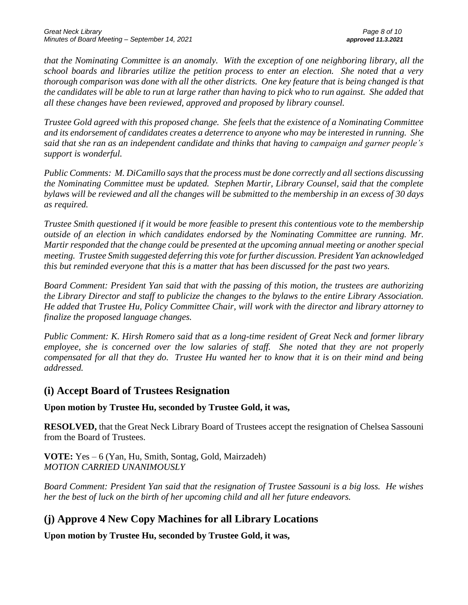*that the Nominating Committee is an anomaly. With the exception of one neighboring library, all the school boards and libraries utilize the petition process to enter an election. She noted that a very thorough comparison was done with all the other districts. One key feature that is being changed is that the candidates will be able to run at large rather than having to pick who to run against. She added that all these changes have been reviewed, approved and proposed by library counsel.* 

*Trustee Gold agreed with this proposed change. She feels that the existence of a Nominating Committee and its endorsement of candidates creates a deterrence to anyone who may be interested in running. She said that she ran as an independent candidate and thinks that having to campaign and garner people's support is wonderful.*

*Public Comments: M. DiCamillo says that the process must be done correctly and all sections discussing the Nominating Committee must be updated. Stephen Martir, Library Counsel, said that the complete bylaws will be reviewed and all the changes will be submitted to the membership in an excess of 30 days as required.*

*Trustee Smith questioned if it would be more feasible to present this contentious vote to the membership outside of an election in which candidates endorsed by the Nominating Committee are running. Mr. Martir responded that the change could be presented at the upcoming annual meeting or another special meeting. Trustee Smith suggested deferring this vote for further discussion. President Yan acknowledged this but reminded everyone that this is a matter that has been discussed for the past two years.*

*Board Comment: President Yan said that with the passing of this motion, the trustees are authorizing the Library Director and staff to publicize the changes to the bylaws to the entire Library Association. He added that Trustee Hu, Policy Committee Chair, will work with the director and library attorney to finalize the proposed language changes.*

*Public Comment: K. Hirsh Romero said that as a long-time resident of Great Neck and former library employee, she is concerned over the low salaries of staff. She noted that they are not properly compensated for all that they do. Trustee Hu wanted her to know that it is on their mind and being addressed.*

### **(i) Accept Board of Trustees Resignation**

#### **Upon motion by Trustee Hu, seconded by Trustee Gold, it was,**

**RESOLVED,** that the Great Neck Library Board of Trustees accept the resignation of Chelsea Sassouni from the Board of Trustees.

**VOTE:** Yes – 6 (Yan, Hu, Smith, Sontag, Gold, Mairzadeh) *MOTION CARRIED UNANIMOUSLY* 

*Board Comment: President Yan said that the resignation of Trustee Sassouni is a big loss. He wishes her the best of luck on the birth of her upcoming child and all her future endeavors.*

# **(j) Approve 4 New Copy Machines for all Library Locations**

**Upon motion by Trustee Hu, seconded by Trustee Gold, it was,**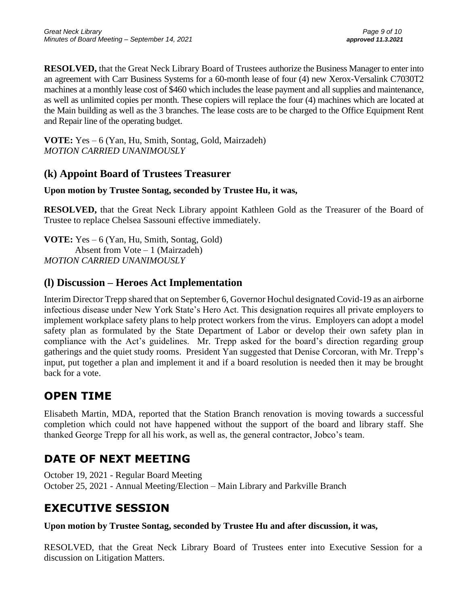**RESOLVED,** that the Great Neck Library Board of Trustees authorize the Business Manager to enter into an agreement with Carr Business Systems for a 60-month lease of four (4) new Xerox-Versalink C7030T2 machines at a monthly lease cost of \$460 which includes the lease payment and all supplies and maintenance, as well as unlimited copies per month. These copiers will replace the four (4) machines which are located at the Main building as well as the 3 branches. The lease costs are to be charged to the Office Equipment Rent and Repair line of the operating budget.

**VOTE:** Yes – 6 (Yan, Hu, Smith, Sontag, Gold, Mairzadeh) *MOTION CARRIED UNANIMOUSLY* 

## **(k) Appoint Board of Trustees Treasurer**

### **Upon motion by Trustee Sontag, seconded by Trustee Hu, it was,**

**RESOLVED,** that the Great Neck Library appoint Kathleen Gold as the Treasurer of the Board of Trustee to replace Chelsea Sassouni effective immediately.

**VOTE:** Yes – 6 (Yan, Hu, Smith, Sontag, Gold) Absent from Vote – 1 (Mairzadeh) *MOTION CARRIED UNANIMOUSLY* 

### **(l) Discussion – Heroes Act Implementation**

Interim Director Trepp shared that on September 6, Governor Hochul designated Covid-19 as an airborne infectious disease under New York State's Hero Act. This designation requires all private employers to implement workplace safety plans to help protect workers from the virus. Employers can adopt a model safety plan as formulated by the State Department of Labor or develop their own safety plan in compliance with the Act's guidelines. Mr. Trepp asked for the board's direction regarding group gatherings and the quiet study rooms. President Yan suggested that Denise Corcoran, with Mr. Trepp's input, put together a plan and implement it and if a board resolution is needed then it may be brought back for a vote.

# **OPEN TIME**

Elisabeth Martin, MDA, reported that the Station Branch renovation is moving towards a successful completion which could not have happened without the support of the board and library staff. She thanked George Trepp for all his work, as well as, the general contractor, Jobco's team.

# **DATE OF NEXT MEETING**

October 19, 2021 - Regular Board Meeting October 25, 2021 - Annual Meeting/Election – Main Library and Parkville Branch

# **EXECUTIVE SESSION**

**Upon motion by Trustee Sontag, seconded by Trustee Hu and after discussion, it was,**

RESOLVED, that the Great Neck Library Board of Trustees enter into Executive Session for a discussion on Litigation Matters.